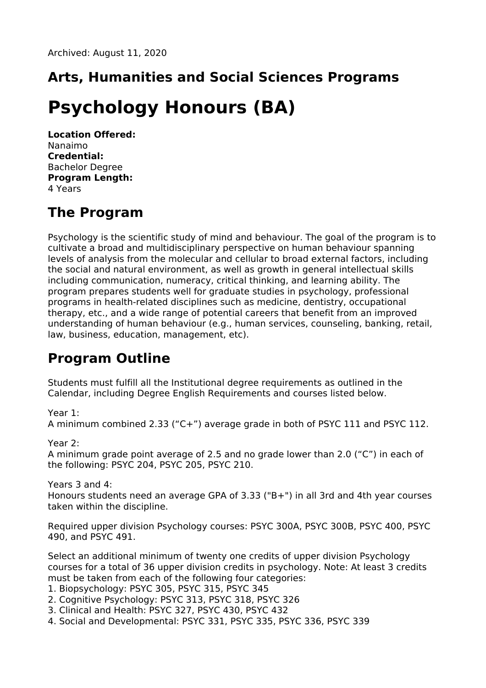## **Arts, Humanities and Social Sciences Programs**

# **Psychology Honours (BA)**

**Location Offered:** Nanaimo **Credential:** Bachelor Degree **Program Length:** 4 Years

### **The Program**

Psychology is the scientific study of mind and behaviour. The goal of the program is to cultivate a broad and multidisciplinary perspective on human behaviour spanning levels of analysis from the molecular and cellular to broad external factors, including the social and natural environment, as well as growth in general intellectual skills including communication, numeracy, critical thinking, and learning ability. The program prepares students well for graduate studies in psychology, professional programs in health-related disciplines such as medicine, dentistry, occupational therapy, etc., and a wide range of potential careers that benefit from an improved understanding of human behaviour (e.g., human services, counseling, banking, retail, law, business, education, management, etc).

### **Program Outline**

Students must fulfill all the Institutional degree requirements as outlined in the Calendar, including Degree English Requirements and courses listed below.

#### Year 1:

A minimum combined 2.33 ("C+") average grade in both of PSYC 111 and PSYC 112.

#### Year 2:

A minimum grade point average of 2.5 and no grade lower than 2.0 ("C") in each of the following: PSYC 204, PSYC 205, PSYC 210.

#### Years 3 and 4:

Honours students need an average GPA of 3.33 ("B+") in all 3rd and 4th year courses taken within the discipline.

Required upper division Psychology courses: PSYC 300A, PSYC 300B, PSYC 400, PSYC 490, and PSYC 491.

Select an additional minimum of twenty one credits of upper division Psychology courses for a total of 36 upper division credits in psychology. Note: At least 3 credits must be taken from each of the following four categories:

- 1. Biopsychology: PSYC 305, PSYC 315, PSYC 345
- 2. Cognitive Psychology: PSYC 313, PSYC 318, PSYC 326
- 3. Clinical and Health: PSYC 327, PSYC 430, PSYC 432
- 4. Social and Developmental: PSYC 331, PSYC 335, PSYC 336, PSYC 339